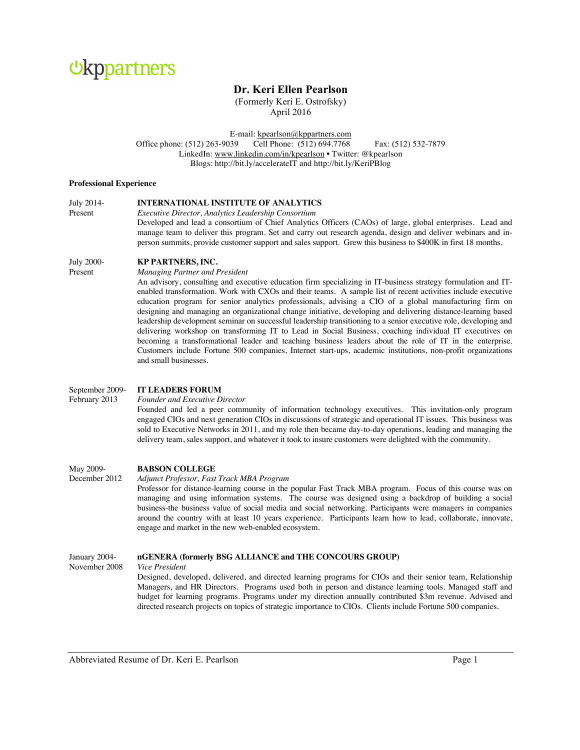

# **Dr. Keri Ellen Pearlson**

(Formerly Keri E. Ostrofsky) April 2016

E-mail: kpearlson@kppartners.com<br>39 Cell Phone: (512) 694.7768 Office phone: (512) 263-9039 Cell Phone: (512) 694.7768 Fax: (512) 532-7879 LinkedIn: www.linkedin.com/in/kpearlson • Twitter: @kpearlson Blogs: http://bit.ly/accelerateIT and http://bit.ly/KeriPBlog

#### **Professional Experience**

| July 2014- | <b>INTERNATIONAL INSTITUTE OF ANALYTICS</b>                                                                                                                                                                                                                                                                                              |
|------------|------------------------------------------------------------------------------------------------------------------------------------------------------------------------------------------------------------------------------------------------------------------------------------------------------------------------------------------|
| Present    | Executive Director, Analytics Leadership Consortium                                                                                                                                                                                                                                                                                      |
|            | Developed and lead a consortium of Chief Analytics Officers (CAOs) of large, global enterprises. Lead and<br>manage team to deliver this program. Set and carry out research agenda, design and deliver webinars and in-<br>person summits, provide customer support and sales support. Grew this business to \$400K in first 18 months. |

#### July 2000- **KP PARTNERS, INC.**

Present *Managing Partner and President*

An advisory, consulting and executive education firm specializing in IT-business strategy formulation and ITenabled transformation. Work with CXOs and their teams. A sample list of recent activities include executive education program for senior analytics professionals, advising a CIO of a global manufacturing firm on designing and managing an organizational change initiative, developing and delivering distance-learning based leadership development seminar on successful leadership transitioning to a senior executive role, developing and delivering workshop on transforming IT to Lead in Social Business, coaching individual IT executives on becoming a transformational leader and teaching business leaders about the role of IT in the enterprise. Customers include Fortune 500 companies, Internet start-ups, academic institutions, non-profit organizations and small businesses.

## September 2009- **IT LEADERS FORUM**

#### February 2013 *Founder and Executive Director*

Founded and led a peer community of information technology executives. This invitation-only program engaged CIOs and next generation CIOs in discussions of strategic and operational IT issues. This business was sold to Executive Networks in 2011, and my role then became day-to-day operations, leading and managing the delivery team, sales support, and whatever it took to insure customers were delighted with the community.

# May 2009- **BABSON COLLEGE**

#### December 2012 *Adjunct Professor, Fast Track MBA Program*

Professor for distance-learning course in the popular Fast Track MBA program. Focus of this course was on managing and using information systems. The course was designed using a backdrop of building a social business-the business value of social media and social networking. Participants were managers in companies around the country with at least 10 years experience. Participants learn how to lead, collaborate, innovate, engage and market in the new web-enabled ecosystem.

#### January 2004- **nGENERA (formerly BSG ALLIANCE and THE CONCOURS GROUP)**

November 2008 *Vice President*

Designed, developed, delivered, and directed learning programs for CIOs and their senior team, Relationship Managers, and HR Directors. Programs used both in person and distance learning tools. Managed staff and budget for learning programs. Programs under my direction annually contributed \$3m revenue. Advised and directed research projects on topics of strategic importance to CIOs. Clients include Fortune 500 companies.